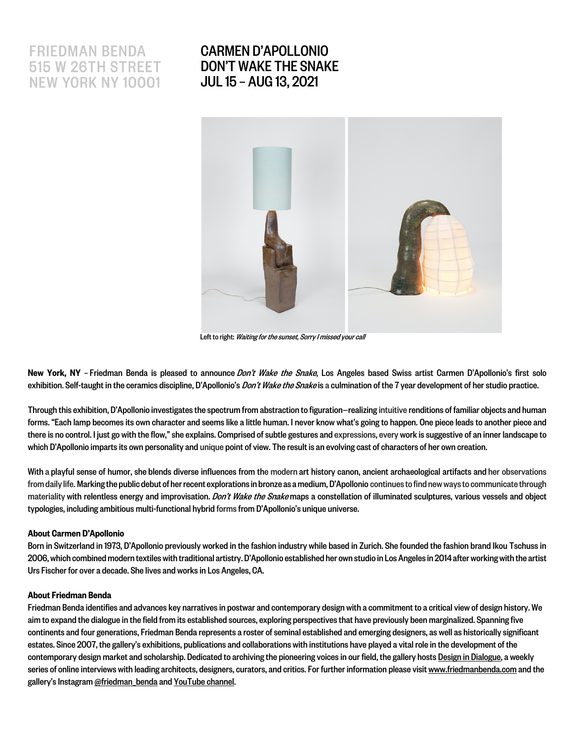## **FRIEDMAN BENDA 515 W 26TH STREET NEW YORK NY 10001**

## CARMEN D'APOLLONIO DON'T WAKE THE SNAKE JUL 15 – AUG 13, 2021



Left to right: Waiting for the sunset, Sorry I missed your call

New York, NY – Friedman Benda is pleased to announce Don't Wake the Snake, Los Angeles based Swiss artist Carmen D'Apollonio's first solo exhibition. Self-taught in the ceramics discipline, D'Apollonio's *Don't Wake the Snake* is a culmination of the 7 year development of her studio practice.

Through this exhibition, D'Apollonio investigates the spectrum from abstraction to figuration—realizingintuitiverenditions of familiar objects and human forms. "Each lamp becomes its own character and seems like a little human. I never know what's going to happen. One piece leads to another piece and there is no control. I just go with the flow," she explains. Comprised of subtle gestures and expressions,every work is suggestive of an inner landscape to which D'Apollonio imparts its own personality and unique point of view. The result is an evolving cast of characters of her own creation.

With a playful sense of humor, she blends diverse influences from the modern art history canon, ancient archaeological artifacts and her observations from daily life. Marking the public debut of her recent explorations in bronze as a medium, D'Apollonio continues to find new ways to communicate through materiality with relentless energy and improvisation. *Don't Wake the Snake* maps a constellation of illuminated sculptures, various vessels and object typologies, including ambitious multi-functional hybrid formsfrom D'Apollonio's unique universe.

## About Carmen D'Apollonio

Born in Switzerland in 1973, D'Apollonio previously worked in the fashion industry while based in Zurich. She founded the fashion brand Ikou Tschuss in 2006, which combined modern textiles with traditional artistry. D'Apollonio established her own studio in Los Angeles in 2014after working with the artist Urs Fischer for over a decade. She lives and works in Los Angeles, CA.

## About Friedman Benda

Friedman Benda identifies and advances key narratives in postwar and contemporary design with a commitment to a critical view of design history. We aim to expand the dialogue in the field from its established sources, exploring perspectives that have previously been marginalized. Spanning five continents and four generations, Friedman Benda represents a roster of seminal established and emerging designers, as well as historically significant estates. Since 2007, the gallery's exhibitions, publications and collaborations with institutions have played a vital role in the development of the contemporary design market and scholarship. Dedicated to archiving the pioneering voices in our field, the gallery hosts Design in Dialogue, a weekly series of online interviews with leading architects, designers, curators, and critics. For further information please visit www.friedmanbenda.com and the gallery's Instagram@friedman\_bendaand YouTube channel.